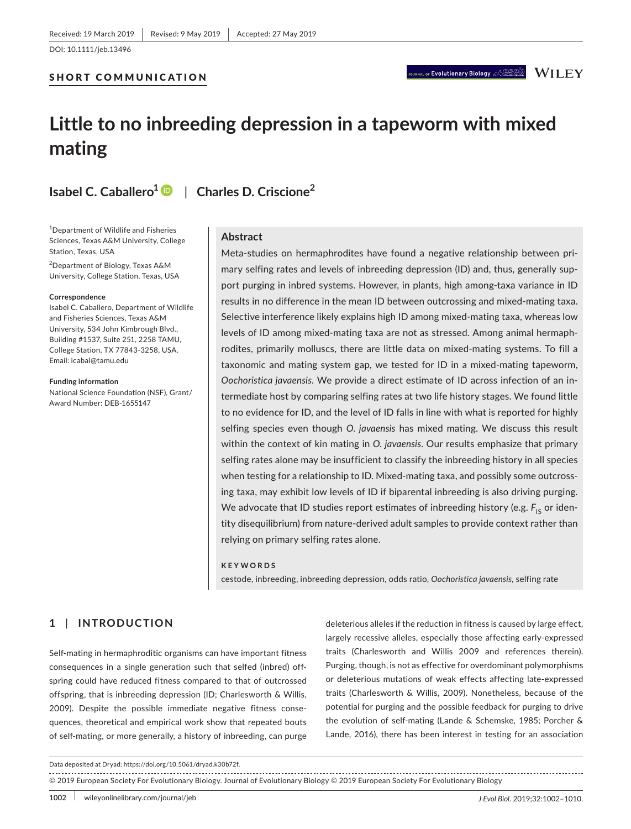## SHORT COMMUNICATION

# **Little to no inbreeding depression in a tapeworm with mixed mating**

**Isabel C. Caballero<sup>1</sup>** | **Charles D. Criscione<sup>2</sup>**

1 Department of Wildlife and Fisheries Sciences, Texas A&M University, College Station, Texas, USA

2 Department of Biology, Texas A&M University, College Station, Texas, USA

#### **Correspondence**

Isabel C. Caballero, Department of Wildlife and Fisheries Sciences, Texas A&M University, 534 John Kimbrough Blvd., Building #1537, Suite 251, 2258 TAMU, College Station, TX 77843‐3258, USA. Email: [icabal@tamu.edu](mailto:icabal@tamu.edu)

**Funding information**

National Science Foundation (NSF), Grant/ Award Number: DEB‐1655147

#### **Abstract**

Meta-studies on hermaphrodites have found a negative relationship between primary selfing rates and levels of inbreeding depression (ID) and, thus, generally support purging in inbred systems. However, in plants, high among‐taxa variance in ID results in no difference in the mean ID between outcrossing and mixed-mating taxa. Selective interference likely explains high ID among mixed-mating taxa, whereas low levels of ID among mixed‐mating taxa are not as stressed. Among animal hermaph‐ rodites, primarily molluscs, there are little data on mixed‐mating systems. To fill a taxonomic and mating system gap, we tested for ID in a mixed-mating tapeworm, *Oochoristica javaensis*. We provide a direct estimate of ID across infection of an in‐ termediate host by comparing selfing rates at two life history stages. We found little to no evidence for ID, and the level of ID falls in line with what is reported for highly selfing species even though *O. javaensis* has mixed mating. We discuss this result within the context of kin mating in *O. javaensis*. Our results emphasize that primary selfing rates alone may be insufficient to classify the inbreeding history in all species when testing for a relationship to ID. Mixed-mating taxa, and possibly some outcrossing taxa, may exhibit low levels of ID if biparental inbreeding is also driving purging. We advocate that ID studies report estimates of inbreeding history (e.g. F<sub>IS</sub> or identity disequilibrium) from nature‐derived adult samples to provide context rather than relying on primary selfing rates alone.

#### **KEYWORDS**

cestode, inbreeding, inbreeding depression, odds ratio, *Oochoristica javaensis*, selfing rate

# **1** | **INTRODUCTION**

Self-mating in hermaphroditic organisms can have important fitness consequences in a single generation such that selfed (inbred) off‐ spring could have reduced fitness compared to that of outcrossed offspring, that is inbreeding depression (ID; Charlesworth & Willis, 2009). Despite the possible immediate negative fitness conse‐ quences, theoretical and empirical work show that repeated bouts of self-mating, or more generally, a history of inbreeding, can purge

deleterious alleles if the reduction in fitness is caused by large effect, largely recessive alleles, especially those affecting early‐expressed traits (Charlesworth and Willis 2009 and references therein). Purging, though, is not as effective for overdominant polymorphisms or deleterious mutations of weak effects affecting late‐expressed traits (Charlesworth & Willis, 2009). Nonetheless, because of the potential for purging and the possible feedback for purging to drive the evolution of self‐mating (Lande & Schemske, 1985; Porcher & Lande, 2016), there has been interest in testing for an association

Data deposited at Dryad: <https://doi.org/10.5061/dryad.k30b72f>.

<sup>© 2019</sup> European Society For Evolutionary Biology. Journal of Evolutionary Biology © 2019 European Society For Evolutionary Biology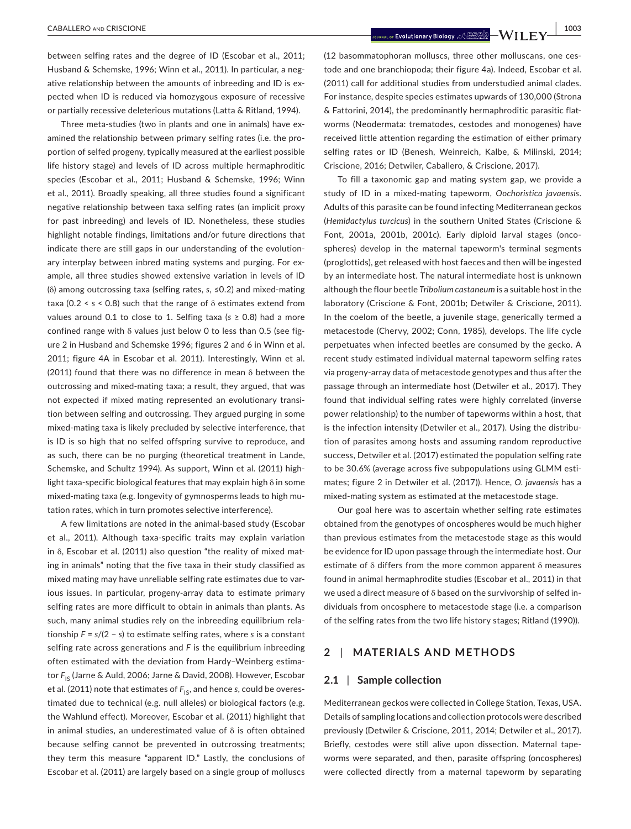between selfing rates and the degree of ID (Escobar et al., 2011; Husband & Schemske, 1996; Winn et al., 2011). In particular, a negative relationship between the amounts of inbreeding and ID is expected when ID is reduced via homozygous exposure of recessive or partially recessive deleterious mutations (Latta & Ritland, 1994).

Three meta‐studies (two in plants and one in animals) have ex‐ amined the relationship between primary selfing rates (i.e. the proportion of selfed progeny, typically measured at the earliest possible life history stage) and levels of ID across multiple hermaphroditic species (Escobar et al., 2011; Husband & Schemske, 1996; Winn et al., 2011). Broadly speaking, all three studies found a significant negative relationship between taxa selfing rates (an implicit proxy for past inbreeding) and levels of ID. Nonetheless, these studies highlight notable findings, limitations and/or future directions that indicate there are still gaps in our understanding of the evolutionary interplay between inbred mating systems and purging. For example, all three studies showed extensive variation in levels of ID (δ) among outcrossing taxa (selfing rates, *s*, ≤0.2) and mixed‐mating taxa (0.2 < *s* < 0.8) such that the range of δ estimates extend from values around 0.1 to close to 1. Selfing taxa (*s* ≥ 0.8) had a more confined range with δ values just below 0 to less than 0.5 (see figure 2 in Husband and Schemske 1996; figures 2 and 6 in Winn et al. 2011; figure 4A in Escobar et al. 2011). Interestingly, Winn et al. (2011) found that there was no difference in mean δ between the outcrossing and mixed‐mating taxa; a result, they argued, that was not expected if mixed mating represented an evolutionary transi‐ tion between selfing and outcrossing. They argued purging in some mixed‐mating taxa is likely precluded by selective interference, that is ID is so high that no selfed offspring survive to reproduce, and as such, there can be no purging (theoretical treatment in Lande, Schemske, and Schultz 1994). As support, Winn et al. (2011) high‐ light taxa‐specific biological features that may explain high δ in some mixed-mating taxa (e.g. longevity of gymnosperms leads to high mutation rates, which in turn promotes selective interference).

A few limitations are noted in the animal‐based study (Escobar et al., 2011). Although taxa‐specific traits may explain variation in δ, Escobar et al. (2011) also question "the reality of mixed mat‐ ing in animals" noting that the five taxa in their study classified as mixed mating may have unreliable selfing rate estimates due to var‐ ious issues. In particular, progeny‐array data to estimate primary selfing rates are more difficult to obtain in animals than plants. As such, many animal studies rely on the inbreeding equilibrium rela‐ tionship *F = s*/(2 − *s*) to estimate selfing rates, where *s* is a constant selfing rate across generations and *F* is the equilibrium inbreeding often estimated with the deviation from Hardy–Weinberg estima‐ tor F<sub>IS</sub> (Jarne & Auld, 2006; Jarne & David, 2008). However, Escobar et al. (2011) note that estimates of  $F_{1S}$ , and hence *s*, could be overestimated due to technical (e.g. null alleles) or biological factors (e.g. the Wahlund effect). Moreover, Escobar et al. (2011) highlight that in animal studies, an underestimated value of δ is often obtained because selfing cannot be prevented in outcrossing treatments; they term this measure "apparent ID." Lastly, the conclusions of Escobar et al. (2011) are largely based on a single group of molluscs

(12 basommatophoran molluscs, three other molluscans, one ces‐ tode and one branchiopoda; their figure 4a). Indeed, Escobar et al. (2011) call for additional studies from understudied animal clades. For instance, despite species estimates upwards of 130,000 (Strona & Fattorini, 2014), the predominantly hermaphroditic parasitic flat‐ worms (Neodermata: trematodes, cestodes and monogenes) have received little attention regarding the estimation of either primary selfing rates or ID (Benesh, Weinreich, Kalbe, & Milinski, 2014; Criscione, 2016; Detwiler, Caballero, & Criscione, 2017).

To fill a taxonomic gap and mating system gap, we provide a study of ID in a mixed‐mating tapeworm, *Oochoristica javaensis*. Adults of this parasite can be found infecting Mediterranean geckos (*Hemidactylus turcicus*) in the southern United States (Criscione & Font, 2001a, 2001b, 2001c). Early diploid larval stages (oncospheres) develop in the maternal tapeworm's terminal segments (proglottids), get released with host faeces and then will be ingested by an intermediate host. The natural intermediate host is unknown although the flour beetle *Tribolium castaneum* is a suitable host in the laboratory (Criscione & Font, 2001b; Detwiler & Criscione, 2011). In the coelom of the beetle, a juvenile stage, generically termed a metacestode (Chervy, 2002; Conn, 1985), develops. The life cycle perpetuates when infected beetles are consumed by the gecko. A recent study estimated individual maternal tapeworm selfing rates via progeny‐array data of metacestode genotypes and thus after the passage through an intermediate host (Detwiler et al., 2017). They found that individual selfing rates were highly correlated (inverse power relationship) to the number of tapeworms within a host, that is the infection intensity (Detwiler et al., 2017). Using the distribution of parasites among hosts and assuming random reproductive success, Detwiler et al. (2017) estimated the population selfing rate to be 30.6% (average across five subpopulations using GLMM esti‐ mates; figure 2 in Detwiler et al. (2017)). Hence, *O. javaensis* has a mixed‐mating system as estimated at the metacestode stage.

Our goal here was to ascertain whether selfing rate estimates obtained from the genotypes of oncospheres would be much higher than previous estimates from the metacestode stage as this would be evidence for ID upon passage through the intermediate host. Our estimate of δ differs from the more common apparent δ measures found in animal hermaphrodite studies (Escobar et al., 2011) in that we used a direct measure of δ based on the survivorship of selfed in‐ dividuals from oncosphere to metacestode stage (i.e. a comparison of the selfing rates from the two life history stages; Ritland (1990)).

# **2** | **MATERIALS AND METHODS**

#### **2.1** | **Sample collection**

Mediterranean geckos were collected in College Station, Texas, USA. Details of sampling locations and collection protocols were described previously (Detwiler & Criscione, 2011, 2014; Detwiler et al., 2017). Briefly, cestodes were still alive upon dissection. Maternal tape‐ worms were separated, and then, parasite offspring (oncospheres) were collected directly from a maternal tapeworm by separating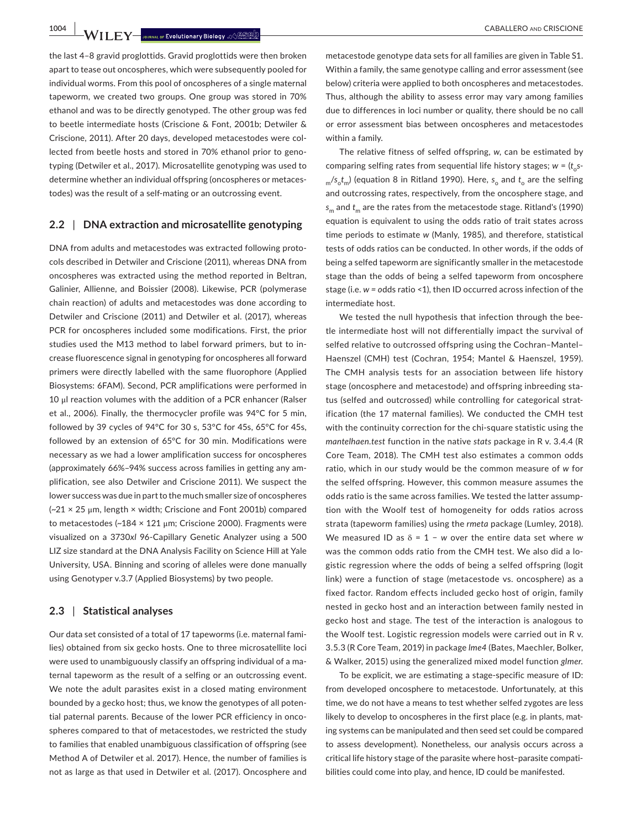**1004 LABALLERO AND CRISCIONE** 

the last 4–8 gravid proglottids. Gravid proglottids were then broken apart to tease out oncospheres, which were subsequently pooled for individual worms. From this pool of oncospheres of a single maternal tapeworm, we created two groups. One group was stored in 70% ethanol and was to be directly genotyped. The other group was fed to beetle intermediate hosts (Criscione & Font, 2001b; Detwiler & Criscione, 2011). After 20 days, developed metacestodes were col‐ lected from beetle hosts and stored in 70% ethanol prior to geno‐ typing (Detwiler et al., 2017). Microsatellite genotyping was used to determine whether an individual offspring (oncospheres or metaces‐ todes) was the result of a self‐mating or an outcrossing event.

## **2.2** | **DNA extraction and microsatellite genotyping**

DNA from adults and metacestodes was extracted following proto‐ cols described in Detwiler and Criscione (2011), whereas DNA from oncospheres was extracted using the method reported in Beltran, Galinier, Allienne, and Boissier (2008). Likewise, PCR (polymerase chain reaction) of adults and metacestodes was done according to Detwiler and Criscione (2011) and Detwiler et al. (2017), whereas PCR for oncospheres included some modifications. First, the prior studies used the M13 method to label forward primers, but to in‐ crease fluorescence signal in genotyping for oncospheres all forward primers were directly labelled with the same fluorophore (Applied Biosystems: 6FAM). Second, PCR amplifications were performed in 10 μl reaction volumes with the addition of a PCR enhancer (Ralser et al., 2006). Finally, the thermocycler profile was 94°C for 5 min, followed by 39 cycles of 94°C for 30 s, 53°C for 45s, 65°C for 45s, followed by an extension of 65°C for 30 min. Modifications were necessary as we had a lower amplification success for oncospheres (approximately 66%–94% success across families in getting any am‐ plification, see also Detwiler and Criscione 2011). We suspect the lower success was due in part to the much smaller size of oncospheres (~21 × 25 μm, length × width; Criscione and Font 2001b) compared to metacestodes (~184 × 121 μm; Criscione 2000). Fragments were visualized on a 3730*xl* 96‐Capillary Genetic Analyzer using a 500 LIZ size standard at the DNA Analysis Facility on Science Hill at Yale University, USA. Binning and scoring of alleles were done manually using Genotyper v.3.7 (Applied Biosystems) by two people.

# **2.3** | **Statistical analyses**

Our data set consisted of a total of 17 tapeworms (i.e. maternal fami‐ lies) obtained from six gecko hosts. One to three microsatellite loci were used to unambiguously classify an offspring individual of a maternal tapeworm as the result of a selfing or an outcrossing event. We note the adult parasites exist in a closed mating environment bounded by a gecko host; thus, we know the genotypes of all poten‐ tial paternal parents. Because of the lower PCR efficiency in onco‐ spheres compared to that of metacestodes, we restricted the study to families that enabled unambiguous classification of offspring (see Method A of Detwiler et al. 2017). Hence, the number of families is not as large as that used in Detwiler et al. (2017). Oncosphere and

metacestode genotype data sets for all families are given in Table S1. Within a family, the same genotype calling and error assessment (see below) criteria were applied to both oncospheres and metacestodes. Thus, although the ability to assess error may vary among families due to differences in loci number or quality, there should be no call or error assessment bias between oncospheres and metacestodes within a family.

The relative fitness of selfed offspring, *w*, can be estimated by comparing selfing rates from sequential life history stages;  $w = (t,s$  $m/s_o t_m$ ) (equation 8 in Ritland 1990). Here,  $s_o$  and  $t_o$  are the selfing and outcrossing rates, respectively, from the oncosphere stage, and *s*m and *t*m are the rates from the metacestode stage. Ritland's (1990) equation is equivalent to using the odds ratio of trait states across time periods to estimate *w* (Manly, 1985), and therefore, statistical tests of odds ratios can be conducted. In other words, if the odds of being a selfed tapeworm are significantly smaller in the metacestode stage than the odds of being a selfed tapeworm from oncosphere stage (i.e. *w = o*dds ratio <1), then ID occurred across infection of the intermediate host.

We tested the null hypothesis that infection through the bee‐ tle intermediate host will not differentially impact the survival of selfed relative to outcrossed offspring using the Cochran–Mantel– Haenszel (CMH) test (Cochran, 1954; Mantel & Haenszel, 1959). The CMH analysis tests for an association between life history stage (oncosphere and metacestode) and offspring inbreeding sta‐ tus (selfed and outcrossed) while controlling for categorical strat‐ ification (the 17 maternal families). We conducted the CMH test with the continuity correction for the chi-square statistic using the *mantelhaen.test* function in the native *stats* package in R v. 3.4.4 (R Core Team, 2018). The CMH test also estimates a common odds ratio, which in our study would be the common measure of *w* for the selfed offspring. However, this common measure assumes the odds ratio is the same across families. We tested the latter assump‐ tion with the Woolf test of homogeneity for odds ratios across strata (tapeworm families) using the *rmeta* package (Lumley, 2018). We measured ID as δ = 1 − *w* over the entire data set where *w* was the common odds ratio from the CMH test. We also did a lo‐ gistic regression where the odds of being a selfed offspring (logit link) were a function of stage (metacestode vs. oncosphere) as a fixed factor. Random effects included gecko host of origin, family nested in gecko host and an interaction between family nested in gecko host and stage. The test of the interaction is analogous to the Woolf test. Logistic regression models were carried out in R v. 3.5.3 (R Core Team, 2019) in package *lme4* (Bates, Maechler, Bolker, & Walker, 2015) using the generalized mixed model function *glmer*.

To be explicit, we are estimating a stage‐specific measure of ID: from developed oncosphere to metacestode. Unfortunately, at this time, we do not have a means to test whether selfed zygotes are less likely to develop to oncospheres in the first place (e.g. in plants, mating systems can be manipulated and then seed set could be compared to assess development). Nonetheless, our analysis occurs across a critical life history stage of the parasite where host–parasite compati‐ bilities could come into play, and hence, ID could be manifested.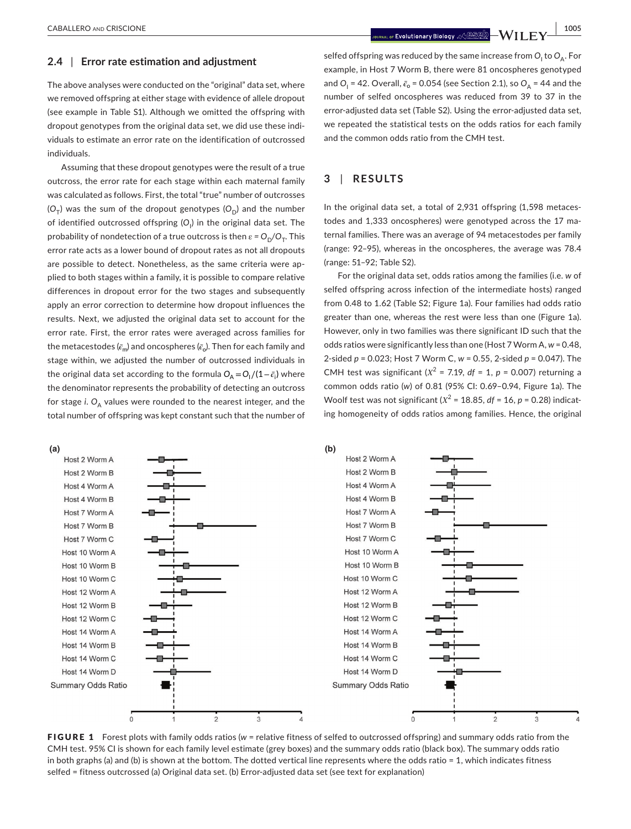#### **2.4** | **Error rate estimation and adjustment**

The above analyses were conducted on the "original" data set, where we removed offspring at either stage with evidence of allele dropout (see example in Table S1). Although we omitted the offspring with dropout genotypes from the original data set, we did use these indi‐ viduals to estimate an error rate on the identification of outcrossed individuals.

Assuming that these dropout genotypes were the result of a true outcross, the error rate for each stage within each maternal family was calculated as follows. First, the total "true" number of outcrosses  $(O<sub>T</sub>)$  was the sum of the dropout genotypes  $(O<sub>n</sub>)$  and the number of identified outcrossed offspring (O<sub>I</sub>) in the original data set. The probability of nondetection of a true outcross is then  $\varepsilon = O_D/O_T$ . This error rate acts as a lower bound of dropout rates as not all dropouts are possible to detect. Nonetheless, as the same criteria were applied to both stages within a family, it is possible to compare relative differences in dropout error for the two stages and subsequently apply an error correction to determine how dropout influences the results. Next, we adjusted the original data set to account for the error rate. First, the error rates were averaged across families for the metacestodes  $(\bar{\epsilon}_m)$  and oncospheres  $(\bar{\epsilon}_o)$ . Then for each family and stage within, we adjusted the number of outcrossed individuals in the original data set according to the formula  $O_A = O_I/(1-\bar{\epsilon_i})$  where the denominator represents the probability of detecting an outcross for stage *i*. O<sub>A</sub> values were rounded to the nearest integer, and the total number of offspring was kept constant such that the number of

selfed offspring was reduced by the same increase from  $O_\mathsf{l}$  to  $O_\mathsf{A}$ . For example, in Host 7 Worm B, there were 81 oncospheres genotyped and  $O_1$  = 42. Overall,  $\bar{c}_0$  = 0.054 (see Section 2.1), so  $O_A$  = 44 and the number of selfed oncospheres was reduced from 39 to 37 in the error-adjusted data set (Table S2). Using the error-adjusted data set, we repeated the statistical tests on the odds ratios for each family and the common odds ratio from the CMH test.

# **3** | **RESULTS**

In the original data set, a total of 2,931 offspring (1,598 metacestodes and 1,333 oncospheres) were genotyped across the 17 ma‐ ternal families. There was an average of 94 metacestodes per family (range: 92–95), whereas in the oncospheres, the average was 78.4 (range: 51–92; Table S2).

For the original data set, odds ratios among the families (i.e. *w* of selfed offspring across infection of the intermediate hosts) ranged from 0.48 to 1.62 (Table S2; Figure 1a). Four families had odds ratio greater than one, whereas the rest were less than one (Figure 1a). However, only in two families was there significant ID such that the odds ratios were significantly less than one (Host 7 Worm A, *w* = 0.48, 2‐sided *p* = 0.023; Host 7 Worm C, *w* = 0.55, 2‐sided *p* = 0.047). The CMH test was significant (*Χ*<sup>2</sup> = 7.19, *df* = 1, *p* = 0.007) returning a common odds ratio (*w*) of 0.81 (95% CI: 0.69–0.94, Figure 1a). The Woolf test was not significant (*Χ*<sup>2</sup> = 18.85, *df* = 16, *p* = 0.28) indicat‐ ing homogeneity of odds ratios among families. Hence, the original



FIGURE 1 Forest plots with family odds ratios (*w* = relative fitness of selfed to outcrossed offspring) and summary odds ratio from the CMH test. 95% CI is shown for each family level estimate (grey boxes) and the summary odds ratio (black box). The summary odds ratio in both graphs (a) and (b) is shown at the bottom. The dotted vertical line represents where the odds ratio = 1, which indicates fitness selfed = fitness outcrossed (a) Original data set. (b) Error-adjusted data set (see text for explanation)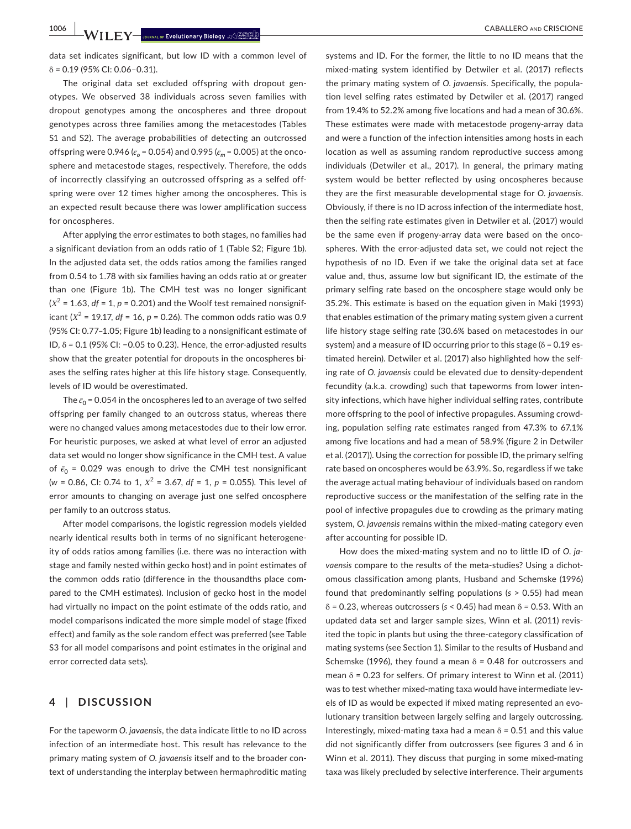**1006 |**  CABALLERO and CRISCIONE

data set indicates significant, but low ID with a common level of δ *=* 0.19 (95% CI: 0.06–0.31).

The original data set excluded offspring with dropout gen‐ otypes. We observed 38 individuals across seven families with dropout genotypes among the oncospheres and three dropout genotypes across three families among the metacestodes (Tables S1 and S2). The average probabilities of detecting an outcrossed offspring were 0.946 ( $\bar{\epsilon}_{o}$  = 0.054) and 0.995 ( $\bar{\epsilon}_{m}$  = 0.005) at the oncosphere and metacestode stages, respectively. Therefore, the odds of incorrectly classifying an outcrossed offspring as a selfed off‐ spring were over 12 times higher among the oncospheres. This is an expected result because there was lower amplification success for oncospheres.

After applying the error estimates to both stages, no families had a significant deviation from an odds ratio of 1 (Table S2; Figure 1b). In the adjusted data set, the odds ratios among the families ranged from 0.54 to 1.78 with six families having an odds ratio at or greater than one (Figure 1b). The CMH test was no longer significant  $(X^2 = 1.63, df = 1, p = 0.201)$  and the Woolf test remained nonsignificant ( $X^2$  = 19.17,  $df = 16$ ,  $p = 0.26$ ). The common odds ratio was 0.9 (95% CI: 0.77–1.05; Figure 1b) leading to a nonsignificant estimate of ID, δ *=* 0.1 (95% CI: −0.05 to 0.23). Hence, the error‐adjusted results show that the greater potential for dropouts in the oncospheres bi‐ ases the selfing rates higher at this life history stage. Consequently, levels of ID would be overestimated.

The  $\bar{\epsilon}_0$  = 0.054 in the oncospheres led to an average of two selfed offspring per family changed to an outcross status, whereas there were no changed values among metacestodes due to their low error. For heuristic purposes, we asked at what level of error an adjusted data set would no longer show significance in the CMH test. A value of  $\bar{\epsilon}_0$  = 0.029 was enough to drive the CMH test nonsignificant (*w* = 0.86, CI: 0.74 to 1, *Χ*<sup>2</sup> = 3.67, *df* = 1, *p* = 0.055). This level of error amounts to changing on average just one selfed oncosphere per family to an outcross status.

After model comparisons, the logistic regression models yielded nearly identical results both in terms of no significant heterogene‐ ity of odds ratios among families (i.e. there was no interaction with stage and family nested within gecko host) and in point estimates of the common odds ratio (difference in the thousandths place com‐ pared to the CMH estimates). Inclusion of gecko host in the model had virtually no impact on the point estimate of the odds ratio, and model comparisons indicated the more simple model of stage (fixed effect) and family as the sole random effect was preferred (see Table S3 for all model comparisons and point estimates in the original and error corrected data sets).

# **4** | **DISCUSSION**

For the tapeworm *O. javaensis*, the data indicate little to no ID across infection of an intermediate host. This result has relevance to the primary mating system of *O. javaensis* itself and to the broader con‐ text of understanding the interplay between hermaphroditic mating

systems and ID. For the former, the little to no ID means that the mixed‐mating system identified by Detwiler et al. (2017) reflects the primary mating system of *O. javaensis*. Specifically, the popula‐ tion level selfing rates estimated by Detwiler et al. (2017) ranged from 19.4% to 52.2% among five locations and had a mean of 30.6%. These estimates were made with metacestode progeny‐array data and were a function of the infection intensities among hosts in each location as well as assuming random reproductive success among individuals (Detwiler et al., 2017). In general, the primary mating system would be better reflected by using oncospheres because they are the first measurable developmental stage for *O. javaensis*. Obviously, if there is no ID across infection of the intermediate host, then the selfing rate estimates given in Detwiler et al. (2017) would be the same even if progeny-array data were based on the oncospheres. With the error-adjusted data set, we could not reject the hypothesis of no ID. Even if we take the original data set at face value and, thus, assume low but significant ID, the estimate of the primary selfing rate based on the oncosphere stage would only be 35.2%. This estimate is based on the equation given in Maki (1993) that enables estimation of the primary mating system given a current life history stage selfing rate (30.6% based on metacestodes in our system) and a measure of ID occurring prior to this stage (δ *=* 0.19 es‐ timated herein). Detwiler et al. (2017) also highlighted how the self‐ ing rate of *O. javaensis* could be elevated due to density‐dependent fecundity (a.k.a. crowding) such that tapeworms from lower inten‐ sity infections, which have higher individual selfing rates, contribute more offspring to the pool of infective propagules. Assuming crowd‐ ing, population selfing rate estimates ranged from 47.3% to 67.1% among five locations and had a mean of 58.9% (figure 2 in Detwiler et al. (2017)). Using the correction for possible ID, the primary selfing rate based on oncospheres would be 63.9%. So, regardless if we take the average actual mating behaviour of individuals based on random reproductive success or the manifestation of the selfing rate in the pool of infective propagules due to crowding as the primary mating system, *O. javaensis* remains within the mixed‐mating category even after accounting for possible ID.

How does the mixed‐mating system and no to little ID of *O. ja*vaensis compare to the results of the meta-studies? Using a dichotomous classification among plants, Husband and Schemske (1996) found that predominantly selfing populations (*s* > 0.55) had mean δ *=* 0.23, whereas outcrossers (*s* < 0.45) had mean δ *=* 0.53. With an updated data set and larger sample sizes, Winn et al. (2011) revis‐ ited the topic in plants but using the three‐category classification of mating systems (see Section 1). Similar to the results of Husband and Schemske (1996), they found a mean δ *=* 0.48 for outcrossers and mean δ *=* 0.23 for selfers. Of primary interest to Winn et al. (2011) was to test whether mixed-mating taxa would have intermediate levels of ID as would be expected if mixed mating represented an evo‐ lutionary transition between largely selfing and largely outcrossing. Interestingly, mixed‐mating taxa had a mean δ *=* 0.51 and this value did not significantly differ from outcrossers (see figures 3 and 6 in Winn et al. 2011). They discuss that purging in some mixed‐mating taxa was likely precluded by selective interference. Their arguments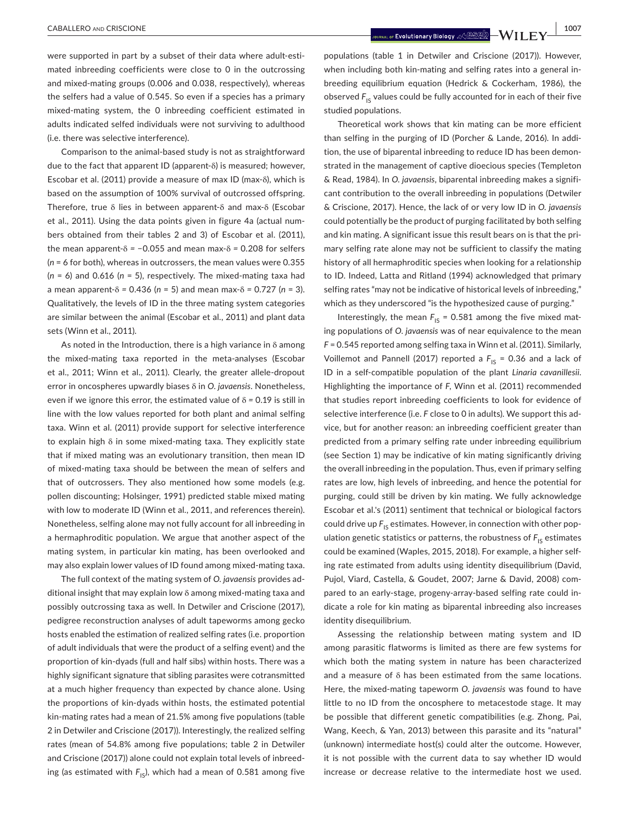were supported in part by a subset of their data where adult-estimated inbreeding coefficients were close to 0 in the outcrossing and mixed-mating groups (0.006 and 0.038, respectively), whereas the selfers had a value of 0.545. So even if a species has a primary mixed‐mating system, the 0 inbreeding coefficient estimated in adults indicated selfed individuals were not surviving to adulthood (i.e. there was selective interference).

Comparison to the animal‐based study is not as straightforward due to the fact that apparent ID (apparent‐δ) is measured; however, Escobar et al. (2011) provide a measure of max ID (max‐δ), which is based on the assumption of 100% survival of outcrossed offspring. Therefore, true δ lies in between apparent‐δ and max‐δ (Escobar et al., 2011). Using the data points given in figure 4a (actual num‐ bers obtained from their tables 2 and 3) of Escobar et al. (2011), the mean apparent‐δ *=* −0.055 and mean max‐δ *=* 0.208 for selfers (*n* = 6 for both), whereas in outcrossers, the mean values were 0.355 (*n* = 6) and 0.616 (*n* = 5), respectively. The mixed‐mating taxa had a mean apparent‐δ *=* 0.436 (*n* = 5) and mean max‐δ *=* 0.727 (*n* = 3). Qualitatively, the levels of ID in the three mating system categories are similar between the animal (Escobar et al., 2011) and plant data sets (Winn et al., 2011).

As noted in the Introduction, there is a high variance in δ among the mixed‐mating taxa reported in the meta‐analyses (Escobar et al., 2011; Winn et al., 2011). Clearly, the greater allele‐dropout error in oncospheres upwardly biases δ in *O. javaensis*. Nonetheless, even if we ignore this error, the estimated value of δ *=* 0.19 is still in line with the low values reported for both plant and animal selfing taxa. Winn et al. (2011) provide support for selective interference to explain high δ in some mixed-mating taxa. They explicitly state that if mixed mating was an evolutionary transition, then mean ID of mixed‐mating taxa should be between the mean of selfers and that of outcrossers. They also mentioned how some models (e.g. pollen discounting; Holsinger, 1991) predicted stable mixed mating with low to moderate ID (Winn et al., 2011, and references therein). Nonetheless, selfing alone may not fully account for all inbreeding in a hermaphroditic population. We argue that another aspect of the mating system, in particular kin mating, has been overlooked and may also explain lower values of ID found among mixed-mating taxa.

The full context of the mating system of *O. javaensis* provides ad‐ ditional insight that may explain low δ among mixed‐mating taxa and possibly outcrossing taxa as well. In Detwiler and Criscione (2017), pedigree reconstruction analyses of adult tapeworms among gecko hosts enabled the estimation of realized selfing rates (i.e. proportion of adult individuals that were the product of a selfing event) and the proportion of kin‐dyads (full and half sibs) within hosts. There was a highly significant signature that sibling parasites were cotransmitted at a much higher frequency than expected by chance alone. Using the proportions of kin‐dyads within hosts, the estimated potential kin‐mating rates had a mean of 21.5% among five populations (table 2 in Detwiler and Criscione (2017)). Interestingly, the realized selfing rates (mean of 54.8% among five populations; table 2 in Detwiler and Criscione (2017)) alone could not explain total levels of inbreed‐ ing (as estimated with  $F_{15}$ ), which had a mean of 0.581 among five populations (table 1 in Detwiler and Criscione (2017)). However, when including both kin-mating and selfing rates into a general inbreeding equilibrium equation (Hedrick & Cockerham, 1986), the observed F<sub>IS</sub> values could be fully accounted for in each of their five studied populations.

Theoretical work shows that kin mating can be more efficient than selfing in the purging of ID (Porcher & Lande, 2016). In addi‐ tion, the use of biparental inbreeding to reduce ID has been demon‐ strated in the management of captive dioecious species (Templeton & Read, 1984). In *O. javaensis*, biparental inbreeding makes a signifi‐ cant contribution to the overall inbreeding in populations (Detwiler & Criscione, 2017). Hence, the lack of or very low ID in *O. javaensis* could potentially be the product of purging facilitated by both selfing and kin mating. A significant issue this result bears on is that the primary selfing rate alone may not be sufficient to classify the mating history of all hermaphroditic species when looking for a relationship to ID. Indeed, Latta and Ritland (1994) acknowledged that primary selfing rates "may not be indicative of historical levels of inbreeding," which as they underscored "is the hypothesized cause of purging."

Interestingly, the mean  $F_{1S} = 0.581$  among the five mixed mating populations of *O. javaensis* was of near equivalence to the mean *F* = 0.545 reported among selfing taxa in Winn et al. (2011). Similarly, Voillemot and Pannell (2017) reported a  $F_{IS} = 0.36$  and a lack of ID in a self‐compatible population of the plant *Linaria cavanillesii*. Highlighting the importance of *F*, Winn et al. (2011) recommended that studies report inbreeding coefficients to look for evidence of selective interference (i.e. F close to 0 in adults). We support this advice, but for another reason: an inbreeding coefficient greater than predicted from a primary selfing rate under inbreeding equilibrium (see Section 1) may be indicative of kin mating significantly driving the overall inbreeding in the population. Thus, even if primary selfing rates are low, high levels of inbreeding, and hence the potential for purging, could still be driven by kin mating. We fully acknowledge Escobar et al.'s (2011) sentiment that technical or biological factors could drive up  $F_{1S}$  estimates. However, in connection with other population genetic statistics or patterns, the robustness of  $F_{1s}$  estimates could be examined (Waples, 2015, 2018). For example, a higher self‐ ing rate estimated from adults using identity disequilibrium (David, Pujol, Viard, Castella, & Goudet, 2007; Jarne & David, 2008) com‐ pared to an early‐stage, progeny‐array‐based selfing rate could in‐ dicate a role for kin mating as biparental inbreeding also increases identity disequilibrium.

Assessing the relationship between mating system and ID among parasitic flatworms is limited as there are few systems for which both the mating system in nature has been characterized and a measure of δ has been estimated from the same locations. Here, the mixed‐mating tapeworm *O. javaensis* was found to have little to no ID from the oncosphere to metacestode stage. It may be possible that different genetic compatibilities (e.g. Zhong, Pai, Wang, Keech, & Yan, 2013) between this parasite and its "natural" (unknown) intermediate host(s) could alter the outcome. However, it is not possible with the current data to say whether ID would increase or decrease relative to the intermediate host we used.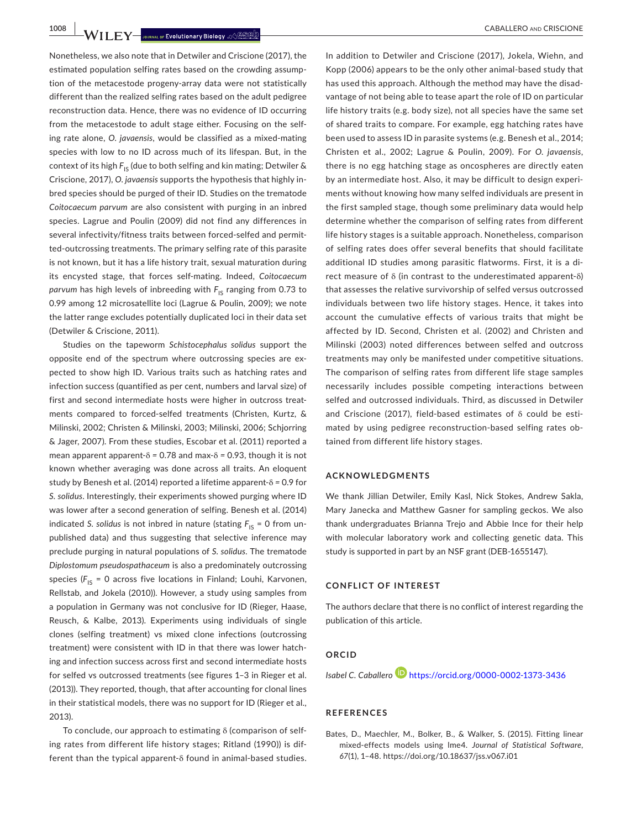**1008 NILEY** JOURNAL OF EVOLUtionary Biology % SEED NULLERO AND CABALLERO AND CRISCIONE

Nonetheless, we also note that in Detwiler and Criscione (2017), the estimated population selfing rates based on the crowding assump‐ tion of the metacestode progeny‐array data were not statistically different than the realized selfing rates based on the adult pedigree reconstruction data. Hence, there was no evidence of ID occurring from the metacestode to adult stage either. Focusing on the self‐ ing rate alone, *O. javaensis*, would be classified as a mixed‐mating species with low to no ID across much of its lifespan. But, in the context of its high  $F_{1S}$  (due to both selfing and kin mating; Detwiler & Criscione, 2017), *O. javaensis* supports the hypothesis that highly in‐ bred species should be purged of their ID. Studies on the trematode *Coitocaecum parvum* are also consistent with purging in an inbred species. Lagrue and Poulin (2009) did not find any differences in several infectivity/fitness traits between forced-selfed and permitted-outcrossing treatments. The primary selfing rate of this parasite is not known, but it has a life history trait, sexual maturation during its encysted stage, that forces self‐mating. Indeed, *Coitocaecum parvum* has high levels of inbreeding with  $F_{1S}$  ranging from 0.73 to 0.99 among 12 microsatellite loci (Lagrue & Poulin, 2009); we note the latter range excludes potentially duplicated loci in their data set (Detwiler & Criscione, 2011).

Studies on the tapeworm *Schistocephalus solidus* support the opposite end of the spectrum where outcrossing species are ex‐ pected to show high ID. Various traits such as hatching rates and infection success (quantified as per cent, numbers and larval size) of first and second intermediate hosts were higher in outcross treatments compared to forced‐selfed treatments (Christen, Kurtz, & Milinski, 2002; Christen & Milinski, 2003; Milinski, 2006; Schjorring & Jager, 2007). From these studies, Escobar et al. (2011) reported a mean apparent apparent‐δ *=* 0.78 and max‐δ *=* 0.93, though it is not known whether averaging was done across all traits. An eloquent study by Benesh et al. (2014) reported a lifetime apparent‐δ *=* 0.9 for *S. solidus*. Interestingly, their experiments showed purging where ID was lower after a second generation of selfing. Benesh et al. (2014) indicated *S. solidus* is not inbred in nature (stating  $F_{IS} = 0$  from unpublished data) and thus suggesting that selective inference may preclude purging in natural populations of *S. solidus*. The trematode *Diplostomum pseudospathaceum* is also a predominately outcrossing species ( $F_{1S}$  = 0 across five locations in Finland; Louhi, Karvonen, Rellstab, and Jokela (2010)). However, a study using samples from a population in Germany was not conclusive for ID (Rieger, Haase, Reusch, & Kalbe, 2013). Experiments using individuals of single clones (selfing treatment) vs mixed clone infections (outcrossing treatment) were consistent with ID in that there was lower hatch‐ ing and infection success across first and second intermediate hosts for selfed vs outcrossed treatments (see figures 1–3 in Rieger et al. (2013)). They reported, though, that after accounting for clonal lines in their statistical models, there was no support for ID (Rieger et al., 2013).

To conclude, our approach to estimating δ (comparison of self‐ ing rates from different life history stages; Ritland (1990)) is dif‐ ferent than the typical apparent‐δ found in animal‐based studies.

In addition to Detwiler and Criscione (2017), Jokela, Wiehn, and Kopp (2006) appears to be the only other animal‐based study that has used this approach. Although the method may have the disad‐ vantage of not being able to tease apart the role of ID on particular life history traits (e.g. body size), not all species have the same set of shared traits to compare. For example, egg hatching rates have been used to assess ID in parasite systems (e.g. Benesh et al., 2014; Christen et al., 2002; Lagrue & Poulin, 2009). For *O. javaensis*, there is no egg hatching stage as oncospheres are directly eaten by an intermediate host. Also, it may be difficult to design experi‐ ments without knowing how many selfed individuals are present in the first sampled stage, though some preliminary data would help determine whether the comparison of selfing rates from different life history stages is a suitable approach. Nonetheless, comparison of selfing rates does offer several benefits that should facilitate additional ID studies among parasitic flatworms. First, it is a di‐ rect measure of δ (in contrast to the underestimated apparent‐δ) that assesses the relative survivorship of selfed versus outcrossed individuals between two life history stages. Hence, it takes into account the cumulative effects of various traits that might be affected by ID. Second, Christen et al. (2002) and Christen and Milinski (2003) noted differences between selfed and outcross treatments may only be manifested under competitive situations. The comparison of selfing rates from different life stage samples necessarily includes possible competing interactions between selfed and outcrossed individuals. Third, as discussed in Detwiler and Criscione (2017), field‐based estimates of δ could be esti‐ mated by using pedigree reconstruction‐based selfing rates ob‐ tained from different life history stages.

#### **ACKNOWLEDGMENTS**

We thank Jillian Detwiler, Emily Kasl, Nick Stokes, Andrew Sakla, Mary Janecka and Matthew Gasner for sampling geckos. We also thank undergraduates Brianna Trejo and Abbie Ince for their help with molecular laboratory work and collecting genetic data. This study is supported in part by an NSF grant (DEB‐1655147).

# **CONFLICT OF INTEREST**

The authors declare that there is no conflict of interest regarding the publication of this article.

# **ORCID**

*Isabel C. Caballero* <https://orcid.org/0000-0002-1373-3436>

#### **REFERENCES**

Bates, D., Maechler, M., Bolker, B., & Walker, S. (2015). Fitting linear mixed‐effects models using lme4. *Journal of Statistical Software*, *67*(1), 1–48. <https://doi.org/10.18637/jss.v067.i01>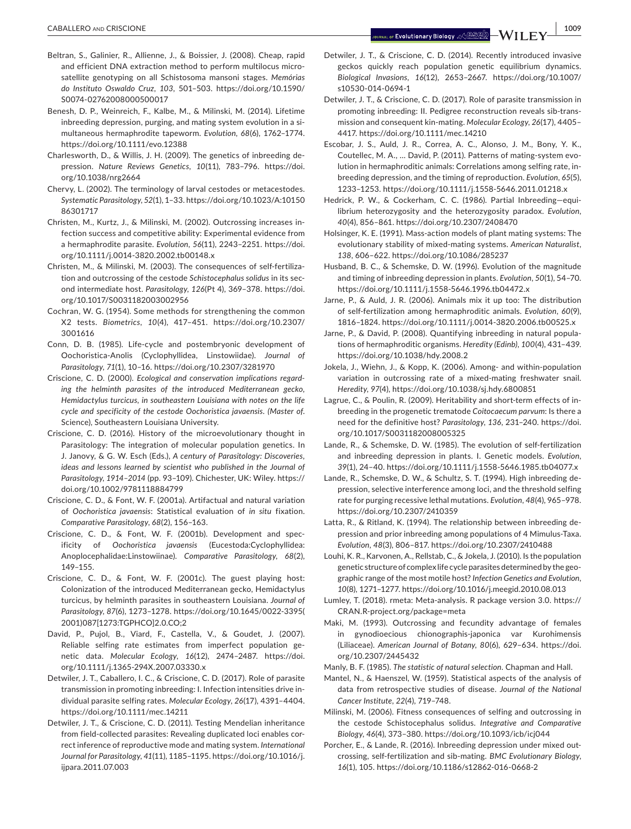- Beltran, S., Galinier, R., Allienne, J., & Boissier, J. (2008). Cheap, rapid and efficient DNA extraction method to perform multilocus microsatellite genotyping on all Schistosoma mansoni stages. *Memórias do Instituto Oswaldo Cruz*, *103*, 501–503. [https://doi.org/10.1590/](https://doi.org/10.1590/S0074-02762008000500017) [S0074-02762008000500017](https://doi.org/10.1590/S0074-02762008000500017)
- Benesh, D. P., Weinreich, F., Kalbe, M., & Milinski, M. (2014). Lifetime inbreeding depression, purging, and mating system evolution in a simultaneous hermaphrodite tapeworm. *Evolution*, *68*(6), 1762–1774. <https://doi.org/10.1111/evo.12388>
- Charlesworth, D., & Willis, J. H. (2009). The genetics of inbreeding de‐ pression. *Nature Reviews Genetics*, *10*(11), 783–796. [https://doi.](https://doi.org/10.1038/nrg2664) [org/10.1038/nrg2664](https://doi.org/10.1038/nrg2664)
- Chervy, L. (2002). The terminology of larval cestodes or metacestodes. *Systematic Parasitology*, *52*(1), 1–33. [https://doi.org/10.1023/A:10150](https://doi.org/10.1023/A:1015086301717) [86301717](https://doi.org/10.1023/A:1015086301717)
- Christen, M., Kurtz, J., & Milinski, M. (2002). Outcrossing increases in‐ fection success and competitive ability: Experimental evidence from a hermaphrodite parasite. *Evolution*, *56*(11), 2243–2251. [https://doi.](https://doi.org/10.1111/j.0014-3820.2002.tb00148.x) [org/10.1111/j.0014-3820.2002.tb00148.x](https://doi.org/10.1111/j.0014-3820.2002.tb00148.x)
- Christen, M., & Milinski, M. (2003). The consequences of self‐fertiliza‐ tion and outcrossing of the cestode *Schistocephalus solidus* in its sec‐ ond intermediate host. *Parasitology*, *126*(Pt 4), 369–378. [https://doi.](https://doi.org/10.1017/S0031182003002956) [org/10.1017/S0031182003002956](https://doi.org/10.1017/S0031182003002956)
- Cochran, W. G. (1954). Some methods for strengthening the common X2 tests. *Biometrics*, *10*(4), 417–451. [https://doi.org/10.2307/](https://doi.org/10.2307/3001616) [3001616](https://doi.org/10.2307/3001616)
- Conn, D. B. (1985). Life‐cycle and postembryonic development of Oochoristica‐Anolis (Cyclophyllidea, Linstowiidae). *Journal of Parasitology*, *71*(1), 10–16. <https://doi.org/10.2307/3281970>
- Criscione, C. D. (2000). *Ecological and conservation implications regarding the helminth parasites of the introduced Mediterranean gecko, Hemidactylus turcicus, in southeastern Louisiana with notes on the life cycle and specificity of the cestode Oochoristica javaensis. (Master of*. Science), Southeastern Louisiana University.
- Criscione, C. D. (2016). History of the microevolutionary thought in Parasitology: The integration of molecular population genetics. In J. Janovy, & G. W. Esch (Eds.), *A century of Parasitology: Discoveries, ideas and lessons learned by scientist who published in the Journal of Parasitology, 1914–2014* (pp. 93–109). Chichester, UK: Wiley. [https://](https://doi.org/10.1002/9781118884799) [doi.org/10.1002/9781118884799](https://doi.org/10.1002/9781118884799)
- Criscione, C. D., & Font, W. F. (2001a). Artifactual and natural variation of *Oochoristica javaensis*: Statistical evaluation of *in situ* fixation. *Comparative Parasitology*, *68*(2), 156–163.
- Criscione, C. D., & Font, W. F. (2001b). Development and spec‐ ificity of *Oochoristica javaensis* (Eucestoda:Cyclophyllidea: Anoplocephalidae:Linstowiinae). *Comparative Parasitology*, *68*(2), 149–155.
- Criscione, C. D., & Font, W. F. (2001c). The guest playing host: Colonization of the introduced Mediterranean gecko, Hemidactylus turcicus, by helminth parasites in southeastern Louisiana. *Journal of Parasitology*, *87*(6), 1273–1278. [https://doi.org/10.1645/0022-3395\(](https://doi.org/10.1645/0022-3395(2001)087[1273:TGPHCO]2.0.CO;2) [2001\)087\[1273:TGPHCO\]2.0.CO;2](https://doi.org/10.1645/0022-3395(2001)087[1273:TGPHCO]2.0.CO;2)
- David, P., Pujol, B., Viard, F., Castella, V., & Goudet, J. (2007). Reliable selfing rate estimates from imperfect population ge‐ netic data. *Molecular Ecology*, *16*(12), 2474–2487. [https://doi.](https://doi.org/10.1111/j.1365-294X.2007.03330.x) [org/10.1111/j.1365-294X.2007.03330.x](https://doi.org/10.1111/j.1365-294X.2007.03330.x)
- Detwiler, J. T., Caballero, I. C., & Criscione, C. D. (2017). Role of parasite transmission in promoting inbreeding: I. Infection intensities drive in‐ dividual parasite selfing rates. *Molecular Ecology*, *26*(17), 4391–4404. <https://doi.org/10.1111/mec.14211>
- Detwiler, J. T., & Criscione, C. D. (2011). Testing Mendelian inheritance from field-collected parasites: Revealing duplicated loci enables correct inference of reproductive mode and mating system. *International Journal for Parasitology*, *41*(11), 1185–1195. [https://doi.org/10.1016/j.](https://doi.org/10.1016/j.ijpara.2011.07.003) [ijpara.2011.07.003](https://doi.org/10.1016/j.ijpara.2011.07.003)
- Detwiler, J. T., & Criscione, C. D. (2014). Recently introduced invasive geckos quickly reach population genetic equilibrium dynamics. *Biological Invasions*, *16*(12), 2653–2667. [https://doi.org/10.1007/](https://doi.org/10.1007/s10530-014-0694-1) [s10530-014-0694-1](https://doi.org/10.1007/s10530-014-0694-1)
- Detwiler, J. T., & Criscione, C. D. (2017). Role of parasite transmission in promoting inbreeding: II. Pedigree reconstruction reveals sib‐trans‐ mission and consequent kin‐mating. *Molecular Ecology*, *26*(17), 4405– 4417.<https://doi.org/10.1111/mec.14210>
- Escobar, J. S., Auld, J. R., Correa, A. C., Alonso, J. M., Bony, Y. K., Coutellec, M. A., … David, P. (2011). Patterns of mating‐system evo‐ lution in hermaphroditic animals: Correlations among selfing rate, in‐ breeding depression, and the timing of reproduction. *Evolution*, *65*(5), 1233–1253. <https://doi.org/10.1111/j.1558-5646.2011.01218.x>
- Hedrick, P. W., & Cockerham, C. C. (1986). Partial Inbreeding—equi‐ librium heterozygosity and the heterozygosity paradox. *Evolution*, *40*(4), 856–861.<https://doi.org/10.2307/2408470>
- Holsinger, K. E. (1991). Mass‐action models of plant mating systems: The evolutionary stability of mixed‐mating systems. *American Naturalist*, *138*, 606–622.<https://doi.org/10.1086/285237>
- Husband, B. C., & Schemske, D. W. (1996). Evolution of the magnitude and timing of inbreeding depression in plants. *Evolution*, *50*(1), 54–70. <https://doi.org/10.1111/j.1558-5646.1996.tb04472.x>
- Jarne, P., & Auld, J. R. (2006). Animals mix it up too: The distribution of self‐fertilization among hermaphroditic animals. *Evolution*, *60*(9), 1816–1824. <https://doi.org/10.1111/j.0014-3820.2006.tb00525.x>
- Jarne, P., & David, P. (2008). Quantifying inbreeding in natural popula‐ tions of hermaphroditic organisms. *Heredity (Edinb)*, *100*(4), 431–439. <https://doi.org/10.1038/hdy.2008.2>
- Jokela, J., Wiehn, J., & Kopp, K. (2006). Among‐ and within‐population variation in outcrossing rate of a mixed-mating freshwater snail. *Heredity*, *97*(4),<https://doi.org/10.1038/sj.hdy.6800851>
- Lagrue, C., & Poulin, R. (2009). Heritability and short-term effects of inbreeding in the progenetic trematode *Coitocaecum parvum*: Is there a need for the definitive host? *Parasitology*, *136*, 231–240. [https://doi.](https://doi.org/10.1017/S0031182008005325) [org/10.1017/S0031182008005325](https://doi.org/10.1017/S0031182008005325)
- Lande, R., & Schemske, D. W. (1985). The evolution of self‐fertilization and inbreeding depression in plants. I. Genetic models. *Evolution*, *39*(1), 24–40.<https://doi.org/10.1111/j.1558-5646.1985.tb04077.x>
- Lande, R., Schemske, D. W., & Schultz, S. T. (1994). High inbreeding de‐ pression, selective interference among loci, and the threshold selfing rate for purging recessive lethal mutations. *Evolution*, *48*(4), 965–978. <https://doi.org/10.2307/2410359>
- Latta, R., & Ritland, K. (1994). The relationship between inbreeding de‐ pression and prior inbreeding among populations of 4 Mimulus‐Taxa. *Evolution*, *48*(3), 806–817.<https://doi.org/10.2307/2410488>
- Louhi, K. R., Karvonen, A., Rellstab, C., & Jokela, J. (2010). Is the population genetic structure of complex life cycle parasites determined by the geographic range of the most motile host? *Infection Genetics and Evolution*, *10*(8), 1271–1277. <https://doi.org/10.1016/j.meegid.2010.08.013>
- Lumley, T. (2018). rmeta: Meta‐analysis. R package version 3.0. [https://](https://CRAN.R-project.org/package=meta) [CRAN.R-project.org/package=meta](https://CRAN.R-project.org/package=meta)
- Maki, M. (1993). Outcrossing and fecundity advantage of females in gynodioecious chionographis‐japonica var Kurohimensis (Liliaceae). *American Journal of Botany*, *80*(6), 629–634. [https://doi.](https://doi.org/10.2307/2445432) [org/10.2307/2445432](https://doi.org/10.2307/2445432)
- Manly, B. F. (1985). *The statistic of natural selection*. Chapman and Hall.
- Mantel, N., & Haenszel, W. (1959). Statistical aspects of the analysis of data from retrospective studies of disease. *Journal of the National Cancer Institute*, *22*(4), 719–748.
- Milinski, M. (2006). Fitness consequences of selfing and outcrossing in the cestode Schistocephalus solidus. *Integrative and Comparative Biology*, *46*(4), 373–380. <https://doi.org/10.1093/icb/icj044>
- Porcher, E., & Lande, R. (2016). Inbreeding depression under mixed out‐ crossing, self‐fertilization and sib‐mating. *BMC Evolutionary Biology*, *16*(1), 105. <https://doi.org/10.1186/s12862-016-0668-2>